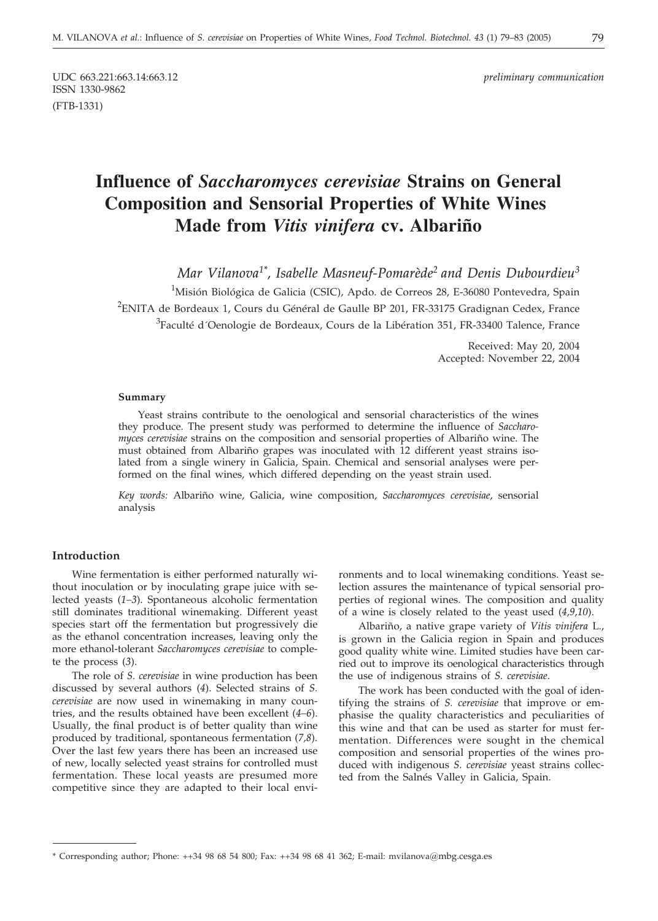ISSN 1330-9862 (FTB-1331)

UDC 663.221:663.14:663.12 *preliminary communication*

# **Influence of** *Saccharomyces cerevisiae* **Strains on General Composition and Sensorial Properties of White Wines Made from** *Vitis vinifera* **cv. Albariño**

*Mar Vilanova1\*, Isabelle Masneuf-Pomarède2 and Denis Dubourdieu3*

<sup>1</sup>Misión Biológica de Galicia (CSIC), Apdo. de Correos 28, E-36080 Pontevedra, Spain <sup>2</sup>ENITA de Bordeaux 1, Cours du Général de Gaulle BP 201, FR-33175 Gradignan Cedex, France <sup>3</sup>Faculté d´Oenologie de Bordeaux, Cours de la Libération 351, FR-33400 Talence, France

> Received: May 20, 2004 Accepted: November 22, 2004

## **Summary**

Yeast strains contribute to the oenological and sensorial characteristics of the wines they produce. The present study was performed to determine the influence of *Saccharomyces cerevisiae* strains on the composition and sensorial properties of Albariño wine. The must obtained from Albariño grapes was inoculated with 12 different yeast strains isolated from a single winery in Galicia, Spain. Chemical and sensorial analyses were performed on the final wines, which differed depending on the yeast strain used.

*Key words:* Albariño wine, Galicia, wine composition, *Saccharomyces cerevisiae*, sensorial analysis

## **Introduction**

Wine fermentation is either performed naturally without inoculation or by inoculating grape juice with selected yeasts (*1–3*). Spontaneous alcoholic fermentation still dominates traditional winemaking. Different yeast species start off the fermentation but progressively die as the ethanol concentration increases, leaving only the more ethanol-tolerant *Saccharomyces cerevisiae* to complete the process (*3*).

The role of *S. cerevisiae* in wine production has been discussed by several authors (*4*). Selected strains of *S. cerevisiae* are now used in winemaking in many countries, and the results obtained have been excellent (*4–6*). Usually, the final product is of better quality than wine produced by traditional, spontaneous fermentation (*7,8*). Over the last few years there has been an increased use of new, locally selected yeast strains for controlled must fermentation. These local yeasts are presumed more competitive since they are adapted to their local environments and to local winemaking conditions. Yeast selection assures the maintenance of typical sensorial properties of regional wines. The composition and quality of a wine is closely related to the yeast used (*4,9,10*).

Albariño, a native grape variety of *Vitis vinifera* L., is grown in the Galicia region in Spain and produces good quality white wine. Limited studies have been carried out to improve its oenological characteristics through the use of indigenous strains of *S. cerevisiae*.

The work has been conducted with the goal of identifying the strains of *S. cerevisiae* that improve or emphasise the quality characteristics and peculiarities of this wine and that can be used as starter for must fermentation. Differences were sought in the chemical composition and sensorial properties of the wines produced with indigenous *S. cerevisiae* yeast strains collected from the Salnés Valley in Galicia, Spain.

<sup>\*</sup> Corresponding author; Phone: ++34 98 68 54 800; Fax: ++34 98 68 41 362; E-mail: mvilanova@mbg.cesga.es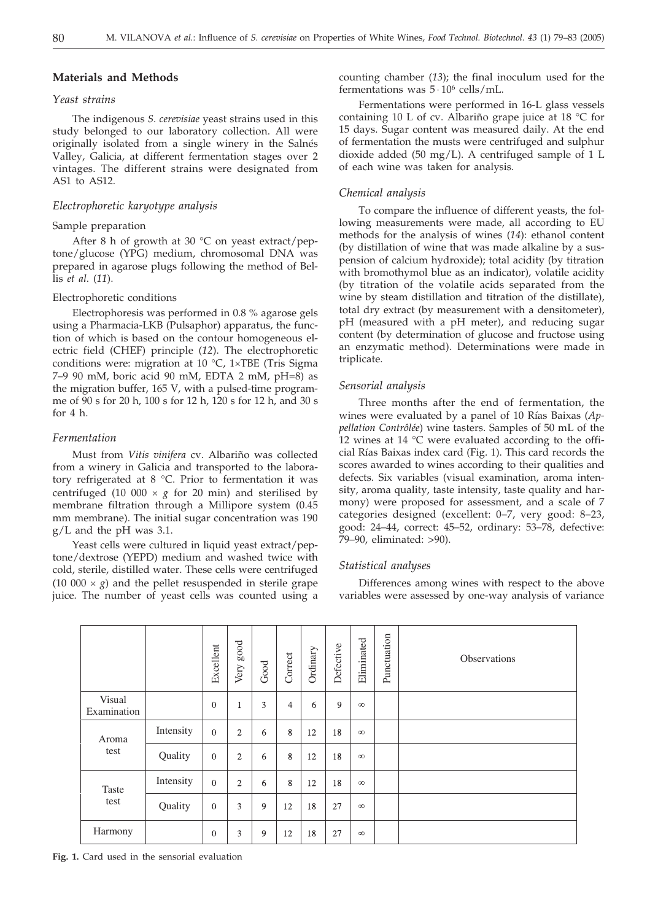## **Materials and Methods**

#### *Yeast strains*

The indigenous *S. cerevisiae* yeast strains used in this study belonged to our laboratory collection. All were originally isolated from a single winery in the Salnés Valley, Galicia, at different fermentation stages over 2 vintages. The different strains were designated from AS1 to AS12.

## *Electrophoretic karyotype analysis*

## Sample preparation

After 8 h of growth at 30  $^{\circ}$ C on yeast extract/peptone/glucose (YPG) medium, chromosomal DNA was prepared in agarose plugs following the method of Bellis *et al*. (*11*).

#### Electrophoretic conditions

Electrophoresis was performed in 0.8 % agarose gels using a Pharmacia-LKB (Pulsaphor) apparatus, the function of which is based on the contour homogeneous electric field (CHEF) principle (*12*). The electrophoretic conditions were: migration at 10  $\degree$ C, 1×TBE (Tris Sigma 7–9 90 mM, boric acid 90 mM, EDTA 2 mM, pH=8) as the migration buffer, 165 V, with a pulsed-time programme of 90 s for 20 h, 100 s for 12 h, 120 s for 12 h, and 30 s for  $4 h$ 

#### *Fermentation*

Must from *Vitis vinifera* cv. Albariño was collected from a winery in Galicia and transported to the laboratory refrigerated at 8 °C. Prior to fermentation it was centrifuged (10 000  $\times$  *g* for 20 min) and sterilised by membrane filtration through a Millipore system (0.45 mm membrane). The initial sugar concentration was 190 g/L and the pH was 3.1.

Yeast cells were cultured in liquid yeast extract/peptone/dextrose (YEPD) medium and washed twice with cold, sterile, distilled water. These cells were centrifuged (10 000  $\times$  *g*) and the pellet resuspended in sterile grape juice. The number of yeast cells was counted using a counting chamber (*13*); the final inoculum used for the fermentations was  $5 \cdot 10^6$  cells/mL.

Fermentations were performed in 16-L glass vessels containing 10 L of cv. Albariño grape juice at 18 °C for 15 days. Sugar content was measured daily. At the end of fermentation the musts were centrifuged and sulphur dioxide added (50 mg/L). A centrifuged sample of 1 L of each wine was taken for analysis.

#### *Chemical analysis*

To compare the influence of different yeasts, the following measurements were made, all according to EU methods for the analysis of wines (*14*): ethanol content (by distillation of wine that was made alkaline by a suspension of calcium hydroxide); total acidity (by titration with bromothymol blue as an indicator), volatile acidity (by titration of the volatile acids separated from the wine by steam distillation and titration of the distillate), total dry extract (by measurement with a densitometer), pH (measured with a pH meter), and reducing sugar content (by determination of glucose and fructose using an enzymatic method). Determinations were made in triplicate.

#### *Sensorial analysis*

Three months after the end of fermentation, the wines were evaluated by a panel of 10 Rías Baixas (*Appellation Contrôlée*) wine tasters. Samples of 50 mL of the 12 wines at 14  $\rm{^{\circ}C}$  were evaluated according to the official Rías Baixas index card (Fig. 1). This card records the scores awarded to wines according to their qualities and defects. Six variables (visual examination, aroma intensity, aroma quality, taste intensity, taste quality and harmony) were proposed for assessment, and a scale of 7 categories designed (excellent: 0–7, very good: 8–23, good: 24–44, correct: 45–52, ordinary: 53–78, defective: 79–90, eliminated: >90).

#### *Statistical analyses*

Differences among wines with respect to the above variables were assessed by one-way analysis of variance

|                       |           | Excellent      | $_{\rm good}$<br>Very | Good | Correct        | Ordinary | Defective | Eliminated | Punctuation | Observations |
|-----------------------|-----------|----------------|-----------------------|------|----------------|----------|-----------|------------|-------------|--------------|
| Visual<br>Examination |           | $\overline{0}$ |                       | 3    | $\overline{4}$ | 6        | 9         | $\infty$   |             |              |
| Aroma<br>test         | Intensity | $\theta$       | $\overline{2}$        | 6    | 8              | 12       | 18        | $\infty$   |             |              |
|                       | Quality   | $\mathbf{0}$   | $\overline{2}$        | 6    | 8              | 12       | 18        | $\infty$   |             |              |
| Taste<br>test         | Intensity | $\theta$       | $\overline{c}$        | 6    | 8              | 12       | 18        | $\infty$   |             |              |
|                       | Quality   | $\mathbf{0}$   | 3                     | 9    | 12             | 18       | 27        | $\infty$   |             |              |
| Harmony               |           | $\mathbf{0}$   | 3                     | 9    | 12             | 18       | 27        | $\infty$   |             |              |

**Fig. 1.** Card used in the sensorial evaluation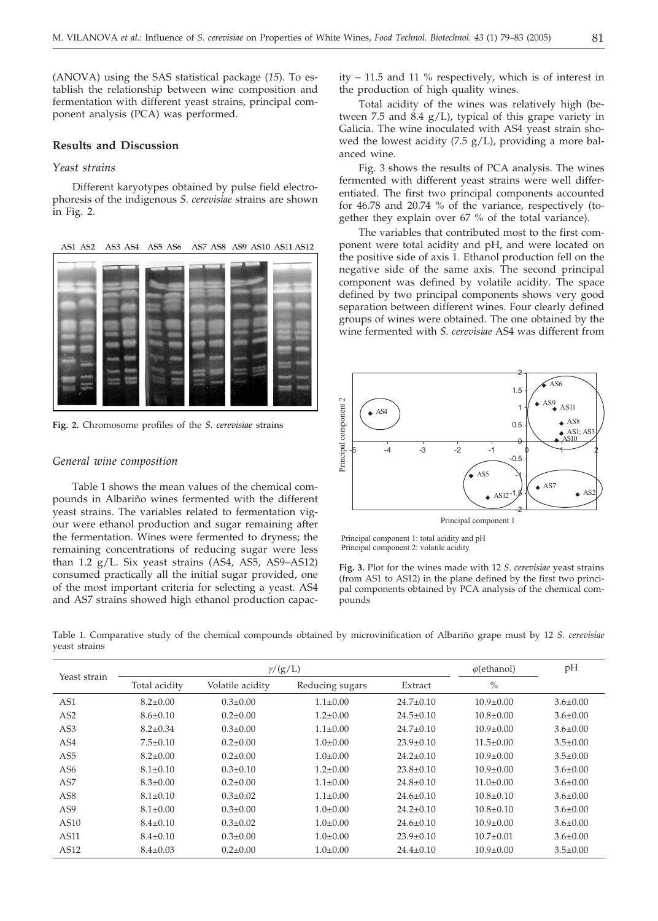(ANOVA) using the SAS statistical package (*15*). To establish the relationship between wine composition and fermentation with different yeast strains, principal component analysis (PCA) was performed.

## **Results and Discussion**

## *Yeast strains*

Different karyotypes obtained by pulse field electrophoresis of the indigenous *S. cerevisiae* strains are shown in Fig. 2.

**AS1 AS2** AS3 AS4 AS5 AS6 AS7 AS8 AS9 AS10 AS11 AS12



**Fig. 2.** Chromosome profiles of the *S. cerevisiae* strains

## *General wine composition*

Table 1 shows the mean values of the chemical compounds in Albariño wines fermented with the different yeast strains. The variables related to fermentation vigour were ethanol production and sugar remaining after the fermentation. Wines were fermented to dryness; the remaining concentrations of reducing sugar were less than  $1.2$  g/L. Six yeast strains (AS4, AS5, AS9-AS12) consumed practically all the initial sugar provided, one of the most important criteria for selecting a yeast. AS4 and AS7 strains showed high ethanol production capacity – 11.5 and 11 % respectively, which is of interest in the production of high quality wines.

Total acidity of the wines was relatively high (between 7.5 and 8.4 g/L), typical of this grape variety in Galicia. The wine inoculated with AS4 yeast strain showed the lowest acidity  $(7.5 \text{ g/L})$ , providing a more balanced wine.

Fig. 3 shows the results of PCA analysis. The wines fermented with different yeast strains were well differentiated. The first two principal components accounted for 46.78 and 20.74 % of the variance, respectively (together they explain over 67 % of the total variance).

The variables that contributed most to the first component were total acidity and pH, and were located on the positive side of axis 1. Ethanol production fell on the negative side of the same axis. The second principal component was defined by volatile acidity. The space defined by two principal components shows very good separation between different wines. Four clearly defined groups of wines were obtained. The one obtained by the wine fermented with *S. cerevisiae* AS4 was different from



Principal component 1

Principal component 1: total acidity and pH Principal component 2: volatile acidity

**Fig. 3.** Plot for the wines made with 12 *S. cerevisiae* yeast strains (from AS1 to AS12) in the plane defined by the first two principal components obtained by PCA analysis of the chemical compounds

Table 1. Comparative study of the chemical compounds obtained by microvinification of Albariño grape must by 12 *S. cerevisiae* yeast strains

| Yeast strain    |                | $\gamma/(g/L)$   | $\varphi$ (ethanol) | pH              |                 |                |
|-----------------|----------------|------------------|---------------------|-----------------|-----------------|----------------|
|                 | Total acidity  | Volatile acidity | Reducing sugars     | Extract         | $\frac{0}{0}$   |                |
| AS <sub>1</sub> | $8.2 \pm 0.00$ | $0.3 \pm 0.00$   | $1.1 \pm 0.00$      | $24.7 \pm 0.10$ | $10.9 \pm 0.00$ | $3.6 \pm 0.00$ |
| AS <sub>2</sub> | $8.6 \pm 0.10$ | $0.2 \pm 0.00$   | $1.2 \pm 0.00$      | $24.5 \pm 0.10$ | $10.8 \pm 0.00$ | $3.6 \pm 0.00$ |
| AS <sub>3</sub> | $8.2 \pm 0.34$ | $0.3 \pm 0.00$   | $1.1 \pm 0.00$      | $24.7 \pm 0.10$ | $10.9 \pm 0.00$ | $3.6 \pm 0.00$ |
| AS <sub>4</sub> | $7.5 \pm 0.10$ | $0.2 \pm 0.00$   | $1.0 \pm 0.00$      | $23.9 \pm 0.10$ | $11.5 \pm 0.00$ | $3.5 \pm 0.00$ |
| AS <sub>5</sub> | $8.2 \pm 0.00$ | $0.2 \pm 0.00$   | $1.0 \pm 0.00$      | $24.2 \pm 0.10$ | $10.9 \pm 0.00$ | $3.5 \pm 0.00$ |
| AS <sub>6</sub> | $8.1 \pm 0.10$ | $0.3 \pm 0.10$   | $1.2 \pm 0.00$      | $23.8 \pm 0.10$ | $10.9 \pm 0.00$ | $3.6 \pm 0.00$ |
| AS <sub>7</sub> | $8.3 \pm 0.00$ | $0.2 \pm 0.00$   | $1.1 \pm 0.00$      | $24.8 \pm 0.10$ | $11.0 \pm 0.00$ | $3.6 \pm 0.00$ |
| AS <sub>8</sub> | $8.1 \pm 0.10$ | $0.3 \pm 0.02$   | $1.1 \pm 0.00$      | $24.6 \pm 0.10$ | $10.8 \pm 0.10$ | $3.6 \pm 0.00$ |
| AS <sub>9</sub> | $8.1 \pm 0.00$ | $0.3 \pm 0.00$   | $1.0 \pm 0.00$      | $24.2 \pm 0.10$ | $10.8 + 0.10$   | $3.6 \pm 0.00$ |
| AS10            | $8.4 \pm 0.10$ | $0.3 \pm 0.02$   | $1.0+0.00$          | $24.6 \pm 0.10$ | $10.9 + 0.00$   | $3.6 \pm 0.00$ |
| AS11            | $8.4 \pm 0.10$ | $0.3 \pm 0.00$   | $1.0 \pm 0.00$      | $23.9 \pm 0.10$ | $10.7 \pm 0.01$ | $3.6 \pm 0.00$ |
| AS12            | $8.4 \pm 0.03$ | $0.2 \pm 0.00$   | $1.0 \pm 0.00$      | $24.4 \pm 0.10$ | $10.9 \pm 0.00$ | $3.5 \pm 0.00$ |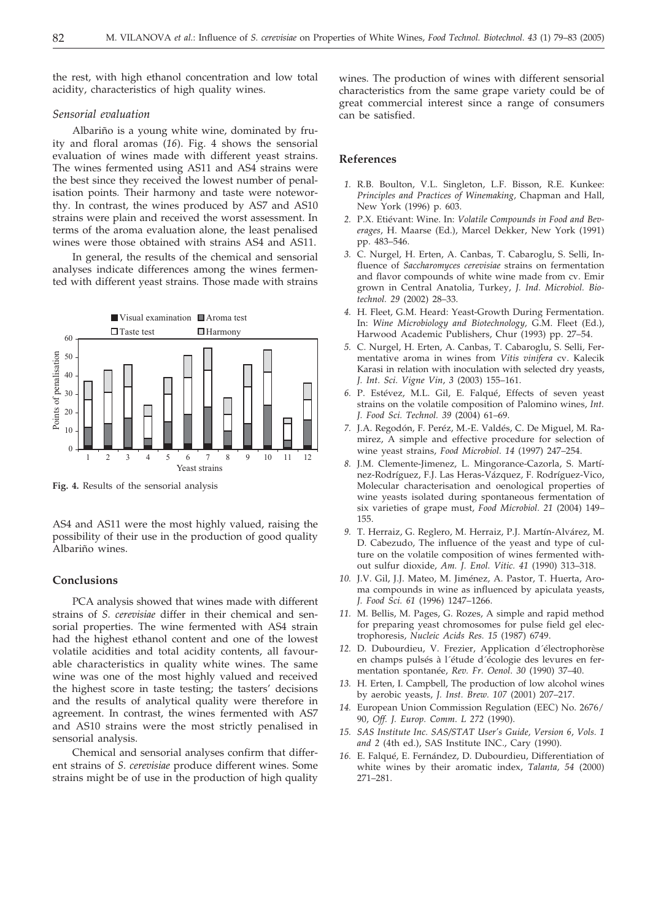the rest, with high ethanol concentration and low total acidity, characteristics of high quality wines.

#### *Sensorial evaluation*

Albariño is a young white wine, dominated by fruity and floral aromas (*16*). Fig. 4 shows the sensorial evaluation of wines made with different yeast strains. The wines fermented using AS11 and AS4 strains were the best since they received the lowest number of penalisation points*.* Their harmony and taste were noteworthy. In contrast, the wines produced by AS7 and AS10 strains were plain and received the worst assessment. In terms of the aroma evaluation alone, the least penalised wines were those obtained with strains AS4 and AS11.

In general, the results of the chemical and sensorial analyses indicate differences among the wines fermented with different yeast strains*.* Those made with strains



**Fig. 4.** Results of the sensorial analysis

AS4 and AS11 were the most highly valued, raising the possibility of their use in the production of good quality Albariño wines.

## **Conclusions**

PCA analysis showed that wines made with different strains of *S. cerevisiae* differ in their chemical and sensorial properties. The wine fermented with AS4 strain had the highest ethanol content and one of the lowest volatile acidities and total acidity contents, all favourable characteristics in quality white wines. The same wine was one of the most highly valued and received the highest score in taste testing; the tasters' decisions and the results of analytical quality were therefore in agreement. In contrast, the wines fermented with AS7 and AS10 strains were the most strictly penalised in sensorial analysis.

Chemical and sensorial analyses confirm that different strains of *S. cerevisiae* produce different wines. Some strains might be of use in the production of high quality

wines. The production of wines with different sensorial characteristics from the same grape variety could be of great commercial interest since a range of consumers can be satisfied.

#### **References**

- *1.* R.B. Boulton, V.L. Singleton, L.F. Bisson, R.E. Kunkee: *Principles and Practices of Winemaking,* Chapman and Hall, New York (1996) p. 603.
- *2.* P.X. Etiévant: Wine. In: *Volatile Compounds in Food and Beverages*, H. Maarse (Ed.), Marcel Dekker, New York (1991) pp. 483–546.
- *3.* C. Nurgel, H. Erten, A. Canbas, T. Cabaroglu, S. Selli, Influence of *Saccharomyces cerevisiae* strains on fermentation and flavor compounds of white wine made from cv. Emir grown in Central Anatolia, Turkey, *J. Ind. Microbiol. Biotechnol. 29* (2002) 28–33.
- *4.* H. Fleet, G.M. Heard: Yeast-Growth During Fermentation. In: *Wine Microbiology and Biotechnology,* G.M. Fleet (Ed.), Harwood Academic Publishers, Chur (1993) pp. 27–54.
- *5.* C. Nurgel, H. Erten, A. Canbas, T. Cabaroglu, S. Selli, Fermentative aroma in wines from *Vitis vinifera* cv. Kalecik Karasi in relation with inoculation with selected dry yeasts, *J. Int. Sci. Vigne Vin*, *3* (2003) 155–161.
- *6.* P. Estévez, M.L. Gil, E. Falqué, Effects of seven yeast strains on the volatile composition of Palomino wines, *Int. J. Food Sci. Technol. 39* (2004) 61–69.
- *7.* J.A. Regodón, F. Peréz, M.-E. Valdés, C. De Miguel, M. Ramirez, A simple and effective procedure for selection of wine yeast strains, *Food Microbiol*. *14* (1997) 247–254.
- *8.* J.M. Clemente-Jimenez, L. Mingorance-Cazorla, S. Martínez-Rodríguez, F.J. Las Heras-Vázquez, F. Rodríguez-Vico, Molecular characterisation and oenological properties of wine yeasts isolated during spontaneous fermentation of six varieties of grape must, *Food Microbiol. 21* (2004) 149– 155.
- *9.* T. Herraiz, G. Reglero, M. Herraiz, P.J. Martín-Alvárez, M. D. Cabezudo, The influence of the yeast and type of culture on the volatile composition of wines fermented without sulfur dioxide, *Am. J. Enol. Vitic. 41* (1990) 313–318.
- *10.* J.V. Gil, J.J. Mateo, M. Jiménez, A. Pastor, T. Huerta, Aroma compounds in wine as influenced by apiculata yeasts, *J. Food Sci. 61* (1996) 1247–1266.
- *11.* M. Bellis, M. Pages, G. Rozes, A simple and rapid method for preparing yeast chromosomes for pulse field gel electrophoresis, *Nucleic Acids Res. 15* (1987) 6749.
- *12.* D. Dubourdieu, V. Frezier, Application d´électrophorèse en champs pulsés à l´étude d´écologie des levures en fermentation spontanée, *Rev. Fr. Oenol*. *30* (1990) 37–40.
- *13.* H. Erten, I. Campbell, The production of low alcohol wines by aerobic yeasts, *J. Inst. Brew. 107* (2001) 207–217.
- *14.* European Union Commission Regulation (EEC) No. 2676/ 90, *Off. J. Europ. Comm*. *L 272* (1990).
- *15. SAS Institute Inc. SAS/STAT User's Guide, Version 6*, *Vols. 1 and 2* (4th ed.), SAS Institute INC., Cary (1990).
- *16.* E. Falqué, E. Fernández, D. Dubourdieu, Differentiation of white wines by their aromatic index, *Talanta, 54* (2000) 271–281.